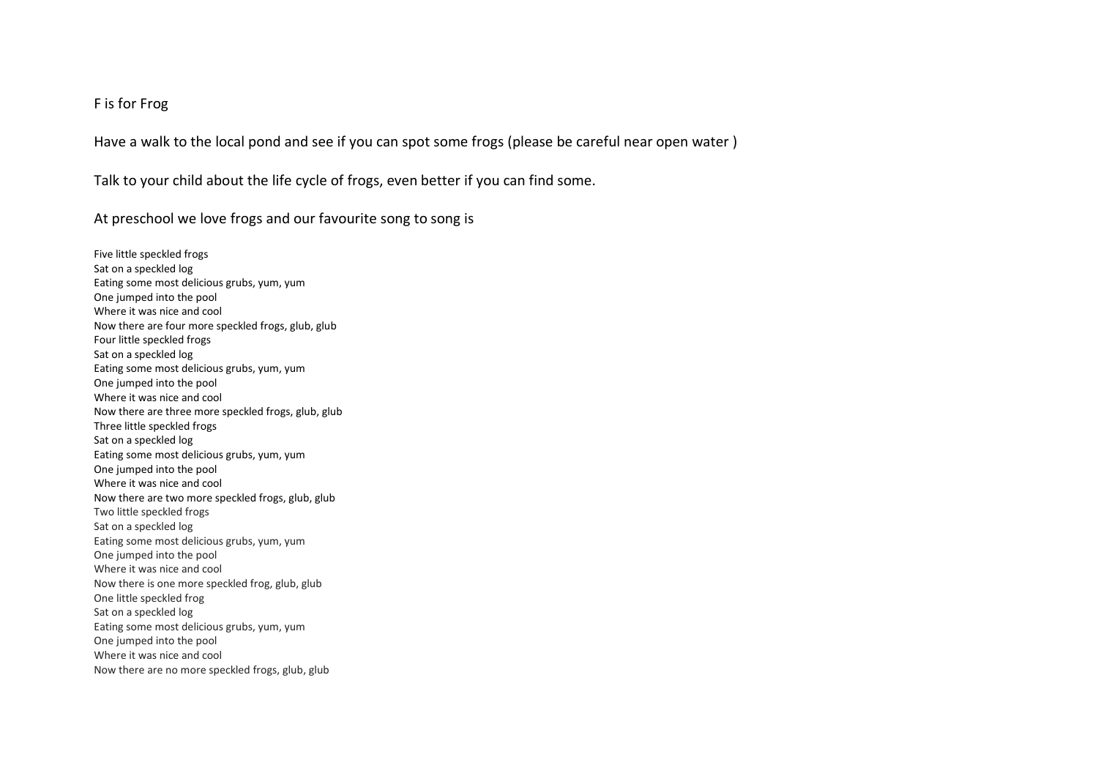## F is for Frog

Have a walk to the local pond and see if you can spot some frogs (please be careful near open water )

Talk to your child about the life cycle of frogs, even better if you can find some.

At preschool we love frogs and our favourite song to song is

Five little speckled frogs Sat on a speckled log Eating some most delicious grubs, yum, yum One jumped into the pool Where it was nice and cool Now there are four more speckled frogs, glub, glub Four little speckled frogs Sat on a speckled log Eating some most delicious grubs, yum, yum One jumped into the pool Where it was nice and cool Now there are three more speckled frogs, glub, glub Three little speckled frogs Sat on a speckled log Eating some most delicious grubs, yum, yum One jumped into the pool Where it was nice and cool Now there are two more speckled frogs, glub, glub Two little speckled frogs Sat on a speckled log Eating some most delicious grubs, yum, yum One jumped into the pool Where it was nice and cool Now there is one more speckled frog, glub, glub One little speckled frog Sat on a speckled log Eating some most delicious grubs, yum, yum One jumped into the pool Where it was nice and cool Now there are no more speckled frogs, glub, glub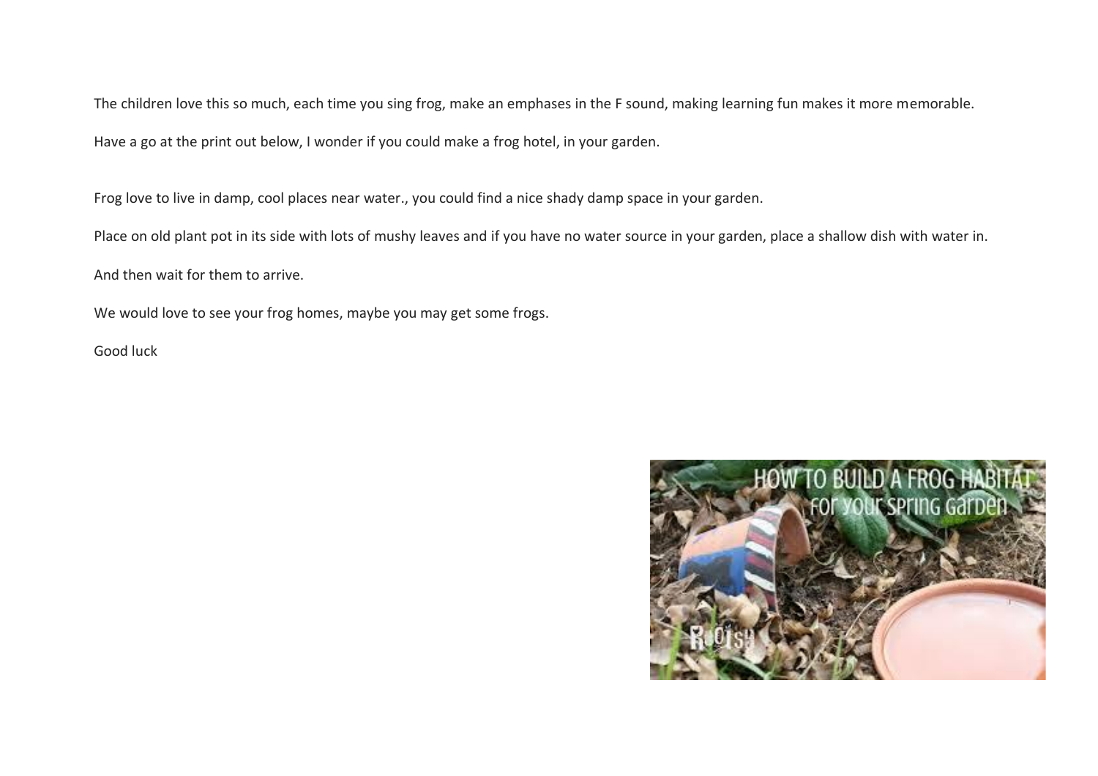The children love this so much, each time you sing frog, make an emphases in the F sound, making learning fun makes it more memorable.

Have a go at the print out below, I wonder if you could make a frog hotel, in your garden.

Frog love to live in damp, cool places near water., you could find a nice shady damp space in your garden.

Place on old plant pot in its side with lots of mushy leaves and if you have no water source in your garden, place a shallow dish with water in.

And then wait for them to arrive.

We would love to see your frog homes, maybe you may get some frogs.

Good luck

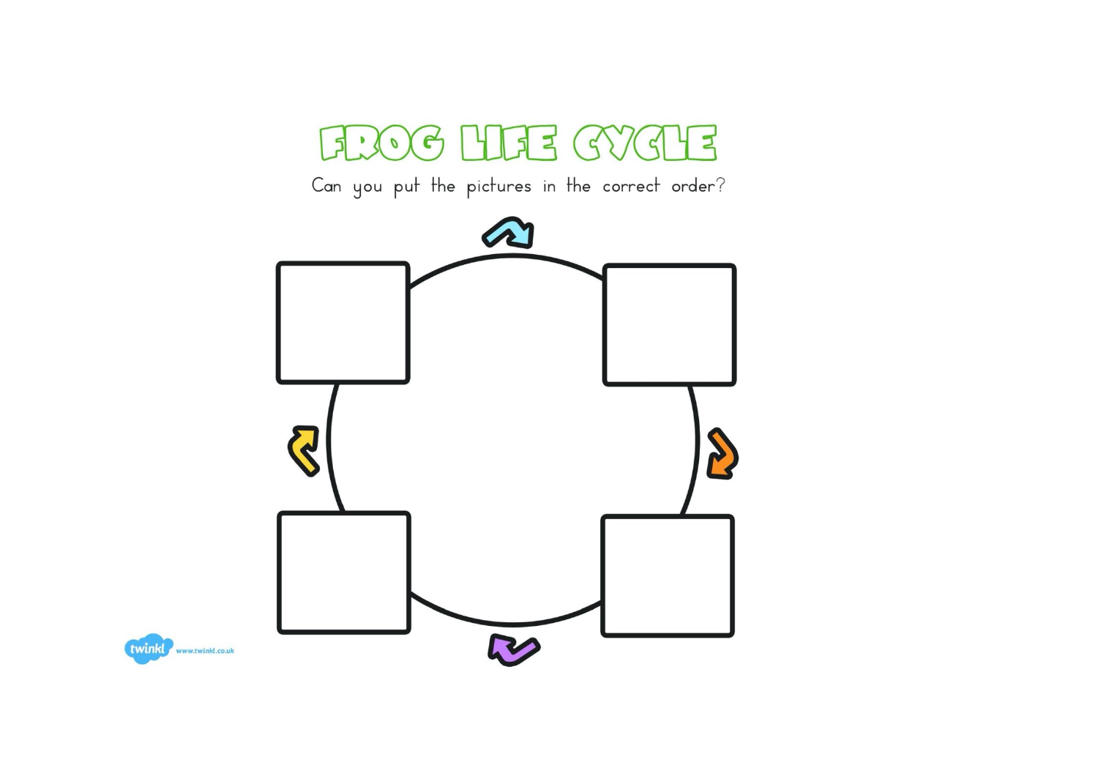